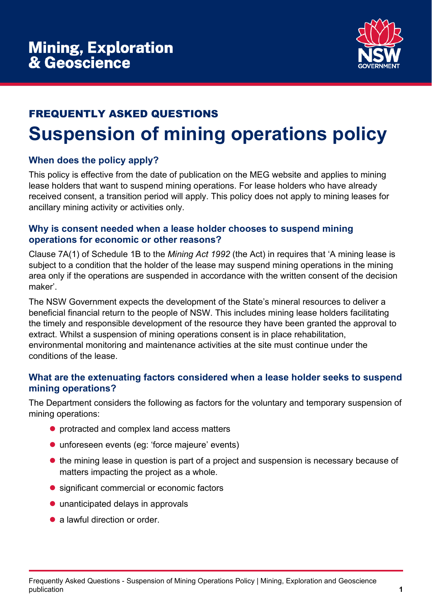

# FREQUENTLY ASKED QUESTIONS **Suspension of mining operations policy**

### **When does the policy apply?**

This policy is effective from the date of publication on the MEG website and applies to mining lease holders that want to suspend mining operations. For lease holders who have already received consent, a transition period will apply. This policy does not apply to mining leases for ancillary mining activity or activities only.

#### **Why is consent needed when a lease holder chooses to suspend mining operations for economic or other reasons?**

Clause 7A(1) of Schedule 1B to the *Mining Act 1992* (the Act) in requires that 'A mining lease is subject to a condition that the holder of the lease may suspend mining operations in the mining area only if the operations are suspended in accordance with the written consent of the decision maker'.

The NSW Government expects the development of the State's mineral resources to deliver a beneficial financial return to the people of NSW. This includes mining lease holders facilitating the timely and responsible development of the resource they have been granted the approval to extract. Whilst a suspension of mining operations consent is in place rehabilitation, environmental monitoring and maintenance activities at the site must continue under the conditions of the lease.

#### **What are the extenuating factors considered when a lease holder seeks to suspend mining operations?**

The Department considers the following as factors for the voluntary and temporary suspension of mining operations:

- protracted and complex land access matters
- unforeseen events (eg: 'force majeure' events)
- the mining lease in question is part of a project and suspension is necessary because of matters impacting the project as a whole.
- significant commercial or economic factors
- unanticipated delays in approvals
- a lawful direction or order.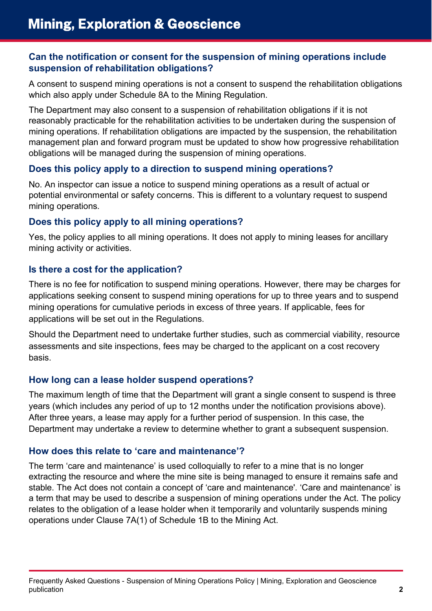### **Can the notification or consent for the suspension of mining operations include suspension of rehabilitation obligations?**

A consent to suspend mining operations is not a consent to suspend the rehabilitation obligations which also apply under Schedule 8A to the Mining Regulation.

The Department may also consent to a suspension of rehabilitation obligations if it is not reasonably practicable for the rehabilitation activities to be undertaken during the suspension of mining operations. If rehabilitation obligations are impacted by the suspension, the rehabilitation management plan and forward program must be updated to show how progressive rehabilitation obligations will be managed during the suspension of mining operations.

### **Does this policy apply to a direction to suspend mining operations?**

No. An inspector can issue a notice to suspend mining operations as a result of actual or potential environmental or safety concerns. This is different to a voluntary request to suspend mining operations*.* 

# **Does this policy apply to all mining operations?**

Yes, the policy applies to all mining operations. It does not apply to mining leases for ancillary mining activity or activities.

# **Is there a cost for the application?**

There is no fee for notification to suspend mining operations. However, there may be charges for applications seeking consent to suspend mining operations for up to three years and to suspend mining operations for cumulative periods in excess of three years. If applicable, fees for applications will be set out in the Regulations.

Should the Department need to undertake further studies, such as commercial viability, resource assessments and site inspections, fees may be charged to the applicant on a cost recovery basis.

# **How long can a lease holder suspend operations?**

The maximum length of time that the Department will grant a single consent to suspend is three years (which includes any period of up to 12 months under the notification provisions above). After three years, a lease may apply for a further period of suspension. In this case, the Department may undertake a review to determine whether to grant a subsequent suspension.

# **How does this relate to 'care and maintenance'?**

The term 'care and maintenance' is used colloquially to refer to a mine that is no longer extracting the resource and where the mine site is being managed to ensure it remains safe and stable. The Act does not contain a concept of 'care and maintenance'. 'Care and maintenance' is a term that may be used to describe a suspension of mining operations under the Act. The policy relates to the obligation of a lease holder when it temporarily and voluntarily suspends mining operations under Clause 7A(1) of Schedule 1B to the Mining Act.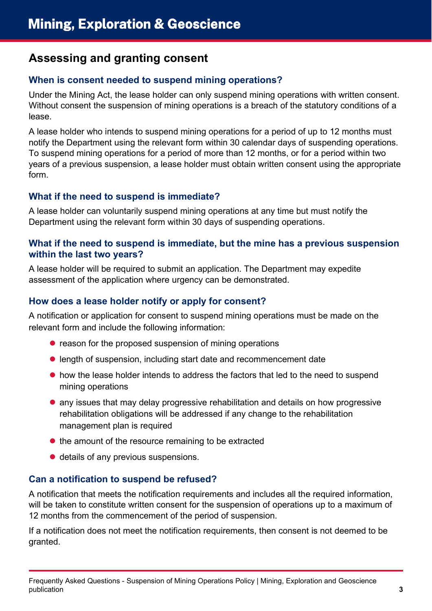# **Assessing and granting consent**

# **When is consent needed to suspend mining operations?**

Under the Mining Act, the lease holder can only suspend mining operations with written consent. Without consent the suspension of mining operations is a breach of the statutory conditions of a lease.

A lease holder who intends to suspend mining operations for a period of up to 12 months must notify the Department using the relevant form within 30 calendar days of suspending operations. To suspend mining operations for a period of more than 12 months, or for a period within two years of a previous suspension, a lease holder must obtain written consent using the appropriate form.

#### **What if the need to suspend is immediate?**

A lease holder can voluntarily suspend mining operations at any time but must notify the Department using the relevant form within 30 days of suspending operations.

#### **What if the need to suspend is immediate, but the mine has a previous suspension within the last two years?**

A lease holder will be required to submit an application. The Department may expedite assessment of the application where urgency can be demonstrated.

### **How does a lease holder notify or apply for consent?**

A notification or application for consent to suspend mining operations must be made on the relevant form and include the following information:

- reason for the proposed suspension of mining operations
- length of suspension, including start date and recommencement date
- how the lease holder intends to address the factors that led to the need to suspend mining operations
- any issues that may delay progressive rehabilitation and details on how progressive rehabilitation obligations will be addressed if any change to the rehabilitation management plan is required
- $\bullet$  the amount of the resource remaining to be extracted
- details of any previous suspensions.

#### **Can a notification to suspend be refused?**

A notification that meets the notification requirements and includes all the required information, will be taken to constitute written consent for the suspension of operations up to a maximum of 12 months from the commencement of the period of suspension.

If a notification does not meet the notification requirements, then consent is not deemed to be granted.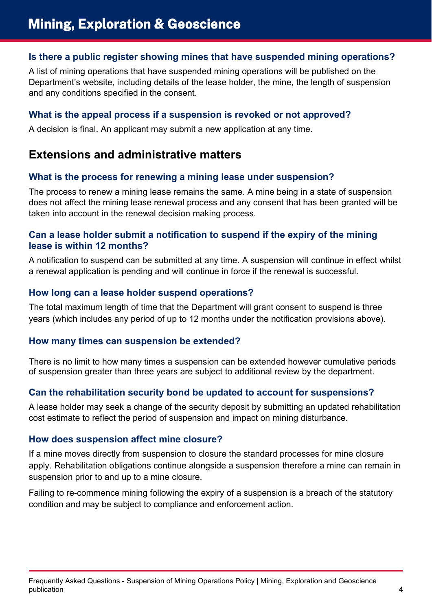### **Is there a public register showing mines that have suspended mining operations?**

A list of mining operations that have suspended mining operations will be published on the Department's website, including details of the lease holder, the mine, the length of suspension and any conditions specified in the consent.

#### **What is the appeal process if a suspension is revoked or not approved?**

A decision is final. An applicant may submit a new application at any time.

# **Extensions and administrative matters**

#### **What is the process for renewing a mining lease under suspension?**

The process to renew a mining lease remains the same. A mine being in a state of suspension does not affect the mining lease renewal process and any consent that has been granted will be taken into account in the renewal decision making process.

#### **Can a lease holder submit a notification to suspend if the expiry of the mining lease is within 12 months?**

A notification to suspend can be submitted at any time. A suspension will continue in effect whilst a renewal application is pending and will continue in force if the renewal is successful.

### **How long can a lease holder suspend operations?**

The total maximum length of time that the Department will grant consent to suspend is three years (which includes any period of up to 12 months under the notification provisions above).

#### **How many times can suspension be extended?**

There is no limit to how many times a suspension can be extended however cumulative periods of suspension greater than three years are subject to additional review by the department.

# **Can the rehabilitation security bond be updated to account for suspensions?**

A lease holder may seek a change of the security deposit by submitting an updated rehabilitation cost estimate to reflect the period of suspension and impact on mining disturbance.

#### **How does suspension affect mine closure?**

If a mine moves directly from suspension to closure the standard processes for mine closure apply. Rehabilitation obligations continue alongside a suspension therefore a mine can remain in suspension prior to and up to a mine closure.

Failing to re-commence mining following the expiry of a suspension is a breach of the statutory condition and may be subject to compliance and enforcement action.